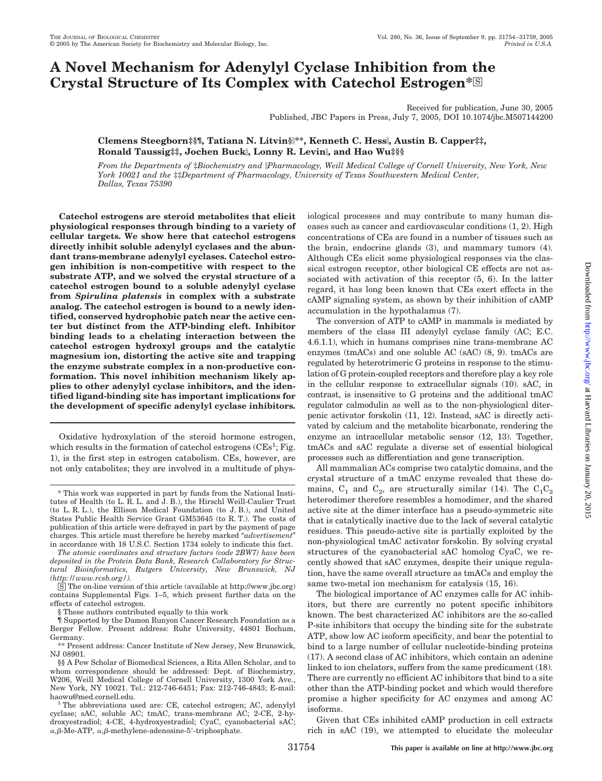# **A Novel Mechanism for Adenylyl Cyclase Inhibition from the** Crystal Structure of Its Complex with Catechol Estrogen<sup>\*</sup><sup>3</sup>

Received for publication, June 30, 2005 Published, JBC Papers in Press, July 7, 2005, DOI 10.1074/jbc.M507144200

**Clemens Steegborn‡§¶, Tatiana N. Litvin§\*\*, Kenneth C. Hess, Austin B. Capper‡‡, Ronald Taussig‡‡, Jochen Buck, Lonny R. Levin, and Hao Wuत**

*From the Departments of* ‡*Biochemistry and Pharmacology, Weill Medical College of Cornell University, New York, New York 10021 and the* ‡‡*Department of Pharmacology, University of Texas Southwestern Medical Center, Dallas, Texas 75390*

**Catechol estrogens are steroid metabolites that elicit physiological responses through binding to a variety of cellular targets. We show here that catechol estrogens directly inhibit soluble adenylyl cyclases and the abundant trans-membrane adenylyl cyclases. Catechol estrogen inhibition is non-competitive with respect to the substrate ATP, and we solved the crystal structure of a catechol estrogen bound to a soluble adenylyl cyclase from** *Spirulina platensis* **in complex with a substrate analog. The catechol estrogen is bound to a newly identified, conserved hydrophobic patch near the active center but distinct from the ATP-binding cleft. Inhibitor binding leads to a chelating interaction between the catechol estrogen hydroxyl groups and the catalytic magnesium ion, distorting the active site and trapping the enzyme substrate complex in a non-productive conformation. This novel inhibition mechanism likely applies to other adenylyl cyclase inhibitors, and the identified ligand-binding site has important implications for the development of specific adenylyl cyclase inhibitors.**

Oxidative hydroxylation of the steroid hormone estrogen, which results in the formation of catechol estrogens  $(CEs^1; Fig.$ 1), is the first step in estrogen catabolism. CEs, however, are not only catabolites; they are involved in a multitude of phys-

*The atomic coordinates and structure factors (code 2BW7) have been deposited in the Protein Data Bank, Research Collaboratory for Structural Bioinformatics, Rutgers University, New Brunswick, NJ (http://www.rcsb.org/).*

 $\overline{S}$  The on-line version of this article (available at http://www.jbc.org) contains Supplemental Figs. 1–5, which present further data on the effects of catechol estrogen.

¶ Supported by the Damon Runyon Cancer Research Foundation as a Berger Fellow. Present address: Ruhr University, 44801 Bochum, Germany.

\*\* Present address: Cancer Institute of New Jersey, New Brunswick, NJ 08901.

iological processes and may contribute to many human diseases such as cancer and cardiovascular conditions (1, 2). High concentrations of CEs are found in a number of tissues such as the brain, endocrine glands (3), and mammary tumors (4). Although CEs elicit some physiological responses via the classical estrogen receptor, other biological CE effects are not associated with activation of this receptor (5, 6). In the latter regard, it has long been known that CEs exert effects in the cAMP signaling system, as shown by their inhibition of cAMP accumulation in the hypothalamus (7).

The conversion of ATP to cAMP in mammals is mediated by members of the class III adenylyl cyclase family (AC; E.C. 4.6.1.1), which in humans comprises nine trans-membrane AC enzymes (tmACs) and one soluble AC (sAC) (8, 9). tmACs are regulated by heterotrimeric G proteins in response to the stimulation of G protein-coupled receptors and therefore play a key role in the cellular response to extracellular signals (10). sAC, in contrast, is insensitive to G proteins and the additional tmAC regulator calmodulin as well as to the non-physiological diterpenic activator forskolin (11, 12). Instead, sAC is directly activated by calcium and the metabolite bicarbonate, rendering the enzyme an intracellular metabolic sensor (12, 13). Together, tmACs and sAC regulate a diverse set of essential biological processes such as differentiation and gene transcription.

All mammalian ACs comprise two catalytic domains, and the crystal structure of a tmAC enzyme revealed that these domains,  $C_1$  and  $C_2$ , are structurally similar (14). The  $C_1C_2$ heterodimer therefore resembles a homodimer, and the shared active site at the dimer interface has a pseudo-symmetric site that is catalytically inactive due to the lack of several catalytic residues. This pseudo-active site is partially exploited by the non-physiological tmAC activator forskolin. By solving crystal structures of the cyanobacterial sAC homolog CyaC, we recently showed that sAC enzymes, despite their unique regulation, have the same overall structure as tmACs and employ the same two-metal ion mechanism for catalysis (15, 16).

The biological importance of AC enzymes calls for AC inhibitors, but there are currently no potent specific inhibitors known. The best characterized AC inhibitors are the so-called P-site inhibitors that occupy the binding site for the substrate ATP, show low AC isoform specificity, and bear the potential to bind to a large number of cellular nucleotide-binding proteins (17). A second class of AC inhibitors, which contain an adenine linked to ion chelators, suffers from the same predicament (18). There are currently no efficient AC inhibitors that bind to a site other than the ATP-binding pocket and which would therefore promise a higher specificity for AC enzymes and among AC isoforms.

Given that CEs inhibited cAMP production in cell extracts rich in sAC (19), we attempted to elucidate the molecular

<sup>\*</sup> This work was supported in part by funds from the National Institutes of Health (to L. R. L. and J. B.), the Hirschl Weill-Caulier Trust (to L. R. L.), the Ellison Medical Foundation (to J. B.), and United States Public Health Service Grant GM53645 (to R. T.). The costs of publication of this article were defrayed in part by the payment of page charges. This article must therefore be hereby marked "*advertisement*" in accordance with 18 U.S.C. Section 1734 solely to indicate this fact.

<sup>§</sup> These authors contributed equally to this work

<sup>§§</sup> A Pew Scholar of Biomedical Sciences, a Rita Allen Scholar, and to whom correspondence should be addressed: Dept. of Biochemistry, W206, Weill Medical College of Cornell University, 1300 York Ave., New York, NY 10021. Tel.: 212-746-6451; Fax: 212-746-4843; E-mail:

haowu@med.cornell.edu.<br><sup>1</sup> The abbreviations used are: CE, catechol estrogen; AC, adenylyl cyclase; sAC, soluble AC; tmAC, trans-membrane AC; 2-CE, 2-hydroxyestradiol; 4-CE, 4-hydroxyestradiol; CyaC, cyanobacterial sAC;  $\alpha$ ,  $\beta$ -Me-ATP,  $\alpha$ ,  $\beta$ -methylene-adenosine-5'-triphosphate.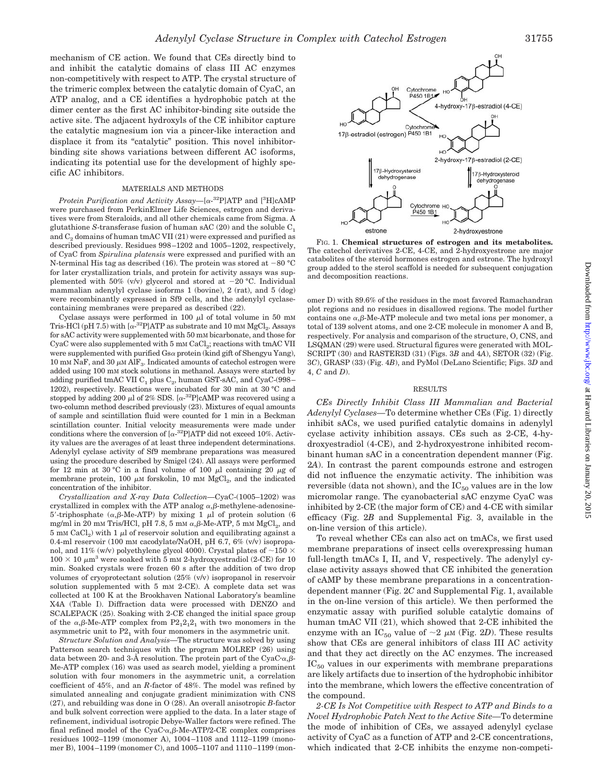mechanism of CE action. We found that CEs directly bind to and inhibit the catalytic domains of class III AC enzymes non-competitively with respect to ATP. The crystal structure of the trimeric complex between the catalytic domain of CyaC, an ATP analog, and a CE identifies a hydrophobic patch at the dimer center as the first AC inhibitor-binding site outside the active site. The adjacent hydroxyls of the CE inhibitor capture the catalytic magnesium ion via a pincer-like interaction and displace it from its "catalytic" position. This novel inhibitorbinding site shows variations between different AC isoforms, indicating its potential use for the development of highly specific AC inhibitors.

## MATERIALS AND METHODS

Protein Purification and Activity Assay—[ $\alpha$ -<sup>32</sup>P]ATP and [<sup>3</sup>H]cAMP were purchased from PerkinElmer Life Sciences, estrogen and derivatives were from Steraloids, and all other chemicals came from Sigma. A glutathione *S*-transferase fusion of human sAC (20) and the soluble C1 and  $C_2$  domains of human tmAC VII (21) were expressed and purified as described previously. Residues 998 –1202 and 1005–1202, respectively, of CyaC from *Spirulina platensis* were expressed and purified with an N-terminal His tag as described (16). The protein was stored at  $-80$  °C for later crystallization trials, and protein for activity assays was supplemented with 50%  $(v/v)$  glycerol and stored at  $-20$  °C. Individual mammalian adenylyl cyclase isoforms 1 (bovine), 2 (rat), and 5 (dog) were recombinantly expressed in Sf9 cells, and the adenylyl cyclasecontaining membranes were prepared as described (22).

Cyclase assays were performed in 100  $\mu$ l of total volume in 50 mM Tris-HCl (pH 7.5) with  $\left[ \alpha^{-32}P\right]ATP$  as substrate and 10 mM  ${MgCl}_2$ . Assays for sAC activity were supplemented with 50 mM bicarbonate, and those for  $CyaC$  were also supplemented with  $5 \text{ mm } \text{CaCl}_2$ ; reactions with tmAC VII were supplemented with purified  $\text{Gsa}$  protein (kind gift of Shengyu Yang), 10 mM NaF, and 30  $\mu$ M AlF<sub>3</sub>. Indicated amounts of catechol estrogen were added using 100 mM stock solutions in methanol. Assays were started by adding purified tmAC VII  $C_1$  plus  $C_2$ , human GST-sAC, and CyaC-(998– 1202), respectively. Reactions were incubated for 30 min at 30 °C and stopped by adding 200  $\mu$ l of 2% SDS. [ $\alpha$ -<sup>32</sup>P]cAMP was recovered using a two-column method described previously (23). Mixtures of equal amounts of sample and scintillation fluid were counted for 1 min in a Beckman scintillation counter. Initial velocity measurements were made under conditions where the conversion of  $[\alpha^{-32}P]ATP$  did not exceed 10%. Activity values are the averages of at least three independent determinations. Adenylyl cyclase activity of Sf9 membrane preparations was measured using the procedure described by Smigel (24). All assays were performed for 12 min at 30 °C in a final volume of 100  $\mu$ l containing 20  $\mu$ g of membrane protein, 100  $\mu$ M forskolin, 10 mM  $MgCl<sub>2</sub>$ , and the indicated concentration of the inhibitor.

*Crystallization and X-ray Data Collection—*CyaC-(1005–1202) was crystallized in complex with the ATP analog  $\alpha$ ,  $\beta$ -methylene-adenosine-5'-triphosphate ( $\alpha$ ,β-Me-ATP) by mixing 1  $\mu$ l of protein solution (6 mg/ml in 20 mM Tris/HCl, pH 7.8, 5 mM  $\alpha$ , $\beta$ -Me-ATP, 5 mM  $\mathrm{MgCl}_2$ , and 5 mm CaCl<sub>2</sub>) with 1  $\mu$ l of reservoir solution and equilibrating against a 0.4-ml reservoir (100 mM cacodylate/NaOH, pH 6.7, 6% (v/v) isopropanol, and 11% (w/v) polyethylene glycol 4000). Crystal plates of  $\sim$ 150  $\times$  $100 \times 10 \ \mu m^3$  were soaked with 5 mM 2-hydroxyestradiol (2-CE) for 10 min. Soaked crystals were frozen 60 s after the addition of two drop volumes of cryoprotectant solution (25% (v/v) isopropanol in reservoir solution supplemented with 5 mm 2-CE). A complete data set was collected at 100 K at the Brookhaven National Laboratory's beamline X4A (Table I). Diffraction data were processed with DENZO and SCALEPACK (25). Soaking with 2-CE changed the initial space group of the  $\alpha,\beta$ -Me-ATP complex from  $P2_12_12_1$  with two monomers in the asymmetric unit to  $P2<sub>1</sub>$  with four monomers in the asymmetric unit.

*Structure Solution and Analysis—*The structure was solved by using Patterson search techniques with the program MOLREP (26) using data between 20- and 3-Å resolution. The protein part of the CyaC $\cdot\alpha,\beta$ -Me-ATP complex (16) was used as search model, yielding a prominent solution with four monomers in the asymmetric unit, a correlation coefficient of 45%, and an *R*-factor of 48%. The model was refined by simulated annealing and conjugate gradient minimization with CNS (27), and rebuilding was done in O (28). An overall anisotropic *B*-factor and bulk solvent correction were applied to the data. In a later stage of refinement, individual isotropic Debye-Waller factors were refined. The final refined model of the  $CyaC \alpha, \beta$ -Me-ATP/2-CE complex comprises residues 1002–1199 (monomer A), 1004 –1108 and 1112–1199 (monomer B), 1004 –1199 (monomer C), and 1005–1107 and 1110 –1199 (mon-



FIG. 1. **Chemical structures of estrogen and its metabolites.** The catechol derivatives 2-CE, 4-CE, and 2-hydroxyestrone are major catabolites of the steroid hormones estrogen and estrone. The hydroxyl group added to the sterol scaffold is needed for subsequent conjugation and decomposition reactions.

omer D) with 89.6% of the residues in the most favored Ramachandran plot regions and no residues in disallowed regions. The model further contains one  $\alpha$ ,  $\beta$ -Me-ATP molecule and two metal ions per monomer, a total of 139 solvent atoms, and one 2-CE molecule in monomer A and B, respectively. For analysis and comparison of the structure, O, CNS, and LSQMAN (29) were used. Structural figures were generated with MOL-SCRIPT (30) and RASTER3D (31) (Figs. 3*B* and 4*A*), SETOR (32) (Fig. 3*C*), GRASP (33) (Fig. 4*B*), and PyMol (DeLano Scientific; Figs. 3*D* and 4, *C* and *D*).

### RESULTS

*CEs Directly Inhibit Class III Mammalian and Bacterial Adenylyl Cyclases—*To determine whether CEs (Fig. 1) directly inhibit sACs, we used purified catalytic domains in adenylyl cyclase activity inhibition assays. CEs such as 2-CE, 4-hydroxyestradiol (4-CE), and 2-hydroxyestrone inhibited recombinant human sAC in a concentration dependent manner (Fig. 2*A*). In contrast the parent compounds estrone and estrogen did not influence the enzymatic activity. The inhibition was reversible (data not shown), and the  $IC_{50}$  values are in the low micromolar range. The cyanobacterial sAC enzyme CyaC was inhibited by 2-CE (the major form of CE) and 4-CE with similar efficacy (Fig. 2*B* and Supplemental Fig. 3, available in the on-line version of this article).

To reveal whether CEs can also act on tmACs, we first used membrane preparations of insect cells overexpressing human full-length tmACs I, II, and V, respectively. The adenylyl cyclase activity assays showed that CE inhibited the generation of cAMP by these membrane preparations in a concentrationdependent manner (Fig. 2*C* and Supplemental Fig. 1, available in the on-line version of this article). We then performed the enzymatic assay with purified soluble catalytic domains of human tmAC VII (21), which showed that 2-CE inhibited the enzyme with an IC<sub>50</sub> value of  $\sim$ 2  $\mu$ M (Fig. 2*D*). These results show that CEs are general inhibitors of class III AC activity and that they act directly on the AC enzymes. The increased  $IC_{50}$  values in our experiments with membrane preparations are likely artifacts due to insertion of the hydrophobic inhibitor into the membrane, which lowers the effective concentration of the compound.

*2-CE Is Not Competitive with Respect to ATP and Binds to a Novel Hydrophobic Patch Next to the Active Site—*To determine the mode of inhibition of CEs, we assayed adenylyl cyclase activity of CyaC as a function of ATP and 2-CE concentrations, which indicated that 2-CE inhibits the enzyme non-competi-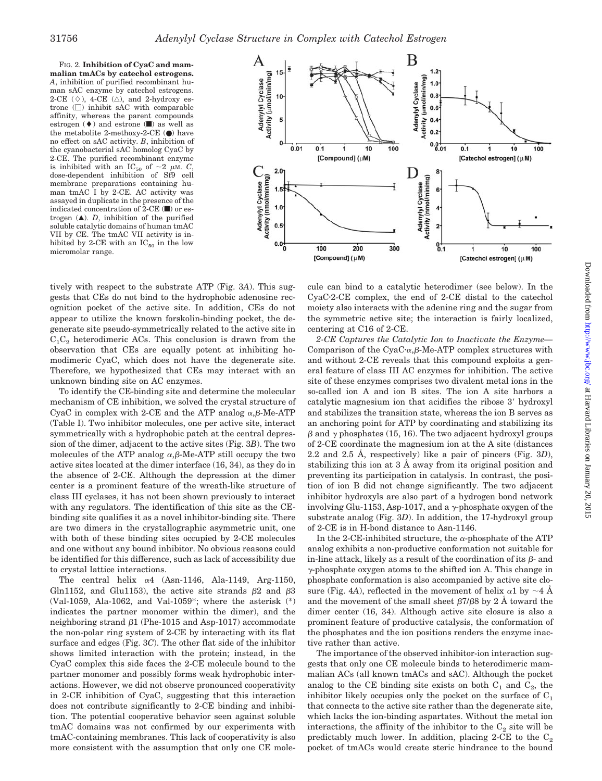FIG. 2. **Inhibition of CyaC and mammalian tmACs by catechol estrogens.** *A*, inhibition of purified recombinant human sAC enzyme by catechol estrogens. 2-CE  $(\Diamond)$ , 4-CE  $(\triangle)$ , and 2-hydroxy estrone  $(\Box)$  inhibit sAC with comparable affinity, whereas the parent compounds estrogen  $(\blacklozenge)$  and estrone  $(\blacksquare)$  as well as the metabolite 2-methoxy-2-CE  $\left( \bullet \right)$  have no effect on sAC activity. *B*, inhibition of the cyanobacterial sAC homolog CyaC by 2-CE. The purified recombinant enzyme is inhibited with an IC<sub>50</sub> of  $\sim$ 2  $\mu$ M. *C* dose-dependent inhibition of Sf9 cell membrane preparations containing human tmAC I by 2-CE. AC activity was assayed in duplicate in the presence of the indicated concentration of  $2$ -CE ( $\blacksquare$ ) or estrogen  $(\triangle)$ . *D*, inhibition of the purified soluble catalytic domains of human tmAC VII by CE. The tmAC VII activity is inhibited by 2-CE with an  $IC_{50}$  in the low micromolar range.



tively with respect to the substrate ATP (Fig. 3*A*). This suggests that CEs do not bind to the hydrophobic adenosine recognition pocket of the active site. In addition, CEs do not appear to utilize the known forskolin-binding pocket, the degenerate site pseudo-symmetrically related to the active site in  $C_1C_2$  heterodimeric ACs. This conclusion is drawn from the observation that CEs are equally potent at inhibiting homodimeric CyaC, which does not have the degenerate site. Therefore, we hypothesized that CEs may interact with an unknown binding site on AC enzymes.

To identify the CE-binding site and determine the molecular mechanism of CE inhibition, we solved the crystal structure of CyaC in complex with 2-CE and the ATP analog  $\alpha$ ,  $\beta$ -Me-ATP (Table I). Two inhibitor molecules, one per active site, interact symmetrically with a hydrophobic patch at the central depression of the dimer, adjacent to the active sites (Fig. 3*B*). The two molecules of the ATP analog  $\alpha$ ,  $\beta$ -Me-ATP still occupy the two active sites located at the dimer interface (16, 34), as they do in the absence of 2-CE. Although the depression at the dimer center is a prominent feature of the wreath-like structure of class III cyclases, it has not been shown previously to interact with any regulators. The identification of this site as the CEbinding site qualifies it as a novel inhibitor-binding site. There are two dimers in the crystallographic asymmetric unit, one with both of these binding sites occupied by 2-CE molecules and one without any bound inhibitor. No obvious reasons could be identified for this difference, such as lack of accessibility due to crystal lattice interactions.

The central helix  $\alpha$ 4 (Asn-1146, Ala-1149, Arg-1150, Gln1152, and Glu1153), the active site strands  $\beta$ 2 and  $\beta$ 3 (Val-1059, Ala-1062, and Val-1059\*; where the asterisk (\*) indicates the partner monomer within the dimer), and the neighboring strand  $\beta$ 1 (Phe-1015 and Asp-1017) accommodate the non-polar ring system of 2-CE by interacting with its flat surface and edges (Fig. 3*C*). The other flat side of the inhibitor shows limited interaction with the protein; instead, in the CyaC complex this side faces the 2-CE molecule bound to the partner monomer and possibly forms weak hydrophobic interactions. However, we did not observe pronounced cooperativity in 2-CE inhibition of CyaC, suggesting that this interaction does not contribute significantly to 2-CE binding and inhibition. The potential cooperative behavior seen against soluble tmAC domains was not confirmed by our experiments with tmAC-containing membranes. This lack of cooperativity is also more consistent with the assumption that only one CE molecule can bind to a catalytic heterodimer (see below). In the CyaC-2-CE complex, the end of 2-CE distal to the catechol moiety also interacts with the adenine ring and the sugar from the symmetric active site; the interaction is fairly localized, centering at C16 of 2-CE.

*2-CE Captures the Catalytic Ion to Inactivate the Enzyme—* Comparison of the CyaC $\cdot \alpha$ ,  $\beta$ -Me-ATP complex structures with and without 2-CE reveals that this compound exploits a general feature of class III AC enzymes for inhibition. The active site of these enzymes comprises two divalent metal ions in the so-called ion A and ion B sites. The ion A site harbors a catalytic magnesium ion that acidifies the ribose 3' hydroxyl and stabilizes the transition state, whereas the ion B serves as an anchoring point for ATP by coordinating and stabilizing its  $\beta$  and  $\gamma$  phosphates (15, 16). The two adjacent hydroxyl groups of 2-CE coordinate the magnesium ion at the A site (distances 2.2 and 2.5 Å, respectively) like a pair of pincers (Fig. 3*D*), stabilizing this ion at 3 Å away from its original position and preventing its participation in catalysis. In contrast, the position of ion B did not change significantly. The two adjacent inhibitor hydroxyls are also part of a hydrogen bond network involving Glu-1153, Asp-1017, and a  $\gamma$ -phosphate oxygen of the substrate analog (Fig. 3*D*). In addition, the 17-hydroxyl group of 2-CE is in H-bond distance to Asn-1146.

In the 2-CE-inhibited structure, the  $\alpha$ -phosphate of the ATP analog exhibits a non-productive conformation not suitable for in-line attack, likely as a result of the coordination of its  $\beta$ - and  $\gamma$ -phosphate oxygen atoms to the shifted ion A. This change in phosphate conformation is also accompanied by active site closure (Fig. 4*A*), reflected in the movement of helix  $\alpha$ 1 by  $\sim$  4 Å and the movement of the small sheet  $\beta$ 7/ $\beta$ 8 by 2 Å toward the dimer center (16, 34). Although active site closure is also a prominent feature of productive catalysis, the conformation of the phosphates and the ion positions renders the enzyme inactive rather than active.

The importance of the observed inhibitor-ion interaction suggests that only one CE molecule binds to heterodimeric mammalian ACs (all known tmACs and sAC). Although the pocket analog to the CE binding site exists on both  $C_1$  and  $C_2$ , the inhibitor likely occupies only the pocket on the surface of  $C_1$ that connects to the active site rather than the degenerate site, which lacks the ion-binding aspartates. Without the metal ion interactions, the affinity of the inhibitor to the  $C_2$  site will be predictably much lower. In addition, placing 2-CE to the  $C_2$ pocket of tmACs would create steric hindrance to the bound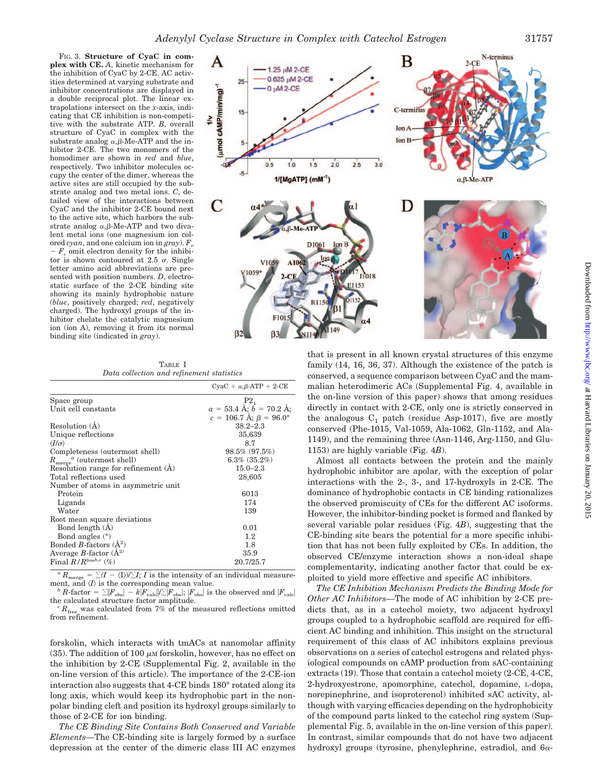1.25 µM 2-CE

µmol cAMP/min/mg)<sup>-1</sup>

 $\geq$ 

FIG. 3. **Structure of CyaC in complex with CE.** *A*, kinetic mechanism for the inhibition of CyaC by 2-CE. AC activities determined at varying substrate and inhibitor concentrations are displayed in a double reciprocal plot. The linear extrapolations intersect on the *x*-axis, indicating that CE inhibition is non-competitive with the substrate ATP. *B*, overall structure of CyaC in complex with the substrate analog  $\alpha$ ,  $\beta$ -Me-ATP and the inhibitor 2-CE. The two monomers of the homodimer are shown in *red* and *blue*, respectively. Two inhibitor molecules occupy the center of the dimer, whereas the active sites are still occupied by the substrate analog and two metal ions. *C*, detailed view of the interactions between CyaC and the inhibitor 2-CE bound next to the active site, which harbors the substrate analog  $\alpha$ ,  $\beta$ -Me-ATP and two divalent metal ions (one magnesium ion colored *cyan*, and one calcium ion in *gray*). F

 $-F_c$  omit electron density for the inhibitor is shown contoured at 2.5  $\sigma$ . Single letter amino acid abbreviations are presented with position numbers. *D*, electrostatic surface of the 2-CE binding site showing its mainly hydrophobic nature (*blue*, positively charged; *red*, negatively charged). The hydroxyl groups of the inhibitor chelate the catalytic magnesium ion (ion A), removing it from its normal binding site (indicated in *gray*).

TABLE I *Data collection and refinement statistics*

|                                               | $CyaC + \alpha, \beta-ATP + 2-CE$     |
|-----------------------------------------------|---------------------------------------|
| Space group                                   | P <sub>2</sub>                        |
| Unit cell constants                           | $a = 53.4$ Å; $b = 70.2$ Å;           |
|                                               | $c = 106.7$ Å; $\beta = 96.0^{\circ}$ |
| Resolution $(A)$                              | $38.2 - 2.3$                          |
| Unique reflections                            | 35,639                                |
| $\langle I/\sigma \rangle$                    | 8.7                                   |
| Completeness (outermost shell)                | $98.5\%$ $(97.5\%)$                   |
| $R_{\text{merge}}^{\alpha}$ (outermost shell) | $6.3\%$ $(35.2\%)$                    |
| Resolution range for refinement (A)           | $15.0 - 2.3$                          |
| Total reflections used                        | 28,605                                |
| Number of atoms in asymmetric unit            |                                       |
| Protein                                       | 6013                                  |
| Ligands                                       | 174                                   |
| Water                                         | 139                                   |
| Root mean square deviations                   |                                       |
| Bond length $(A)$                             | 0.01                                  |
| Bond angles $(°)$                             | $1.2\,$                               |
| Bonded B-factors $(\AA^2)$                    | 1.8                                   |
| Average B-factor $(\AA^2)$                    | 35.9                                  |
| Final $R/R$ free $b,c$ (%)                    | 20.7/25.7                             |

 $\overline{R_{\text{merge}}} = \sum (I - \langle I \rangle)/\sum I$ ; *I* is the intensity or a ment, and  $\langle I \rangle$  is the corresponding mean value.  $(I - \langle I \rangle)/\sum I$ ; *I* is the intensity of an individual measurement, and  $\langle I \rangle$  is the corresponding mean value.<br> *b R*-factor =  $\sum |F_{\text{obs}}| - k|F_{\text{calc}}| / \sum |F_{\text{obs}}|$ ;  $|F_{\text{obs}}|$  is the observed and  $|F_{\text{calc}}|$ 

the calculated structure factor amplitude.<br> *<sup>c</sup>R*<sub>free</sub> was calculated from 7% of the measured reflections omitted from refinement.

forskolin, which interacts with tmACs at nanomolar affinity (35). The addition of 100  $\mu$ M forskolin, however, has no effect on the inhibition by 2-CE (Supplemental Fig. 2, available in the on-line version of this article). The importance of the 2-CE-ion interaction also suggests that 4-CE binds 180° rotated along its long axis, which would keep its hydrophobic part in the nonpolar binding cleft and position its hydroxyl groups similarly to those of 2-CE for ion binding.

*The CE Binding Site Contains Both Conserved and Variable Elements—*The CE-binding site is largely formed by a surface depression at the center of the dimeric class III AC enzymes



B

family (14, 16, 36, 37). Although the existence of the patch is conserved, a sequence comparison between CyaC and the mammalian heterodimeric ACs (Supplemental Fig. 4, available in the on-line version of this paper) shows that among residues directly in contact with 2-CE, only one is strictly conserved in the analogous  $C_1$  patch (residue Asp-1017), five are mostly conserved (Phe-1015, Val-1059, Ala-1062, Gln-1152, and Ala-1149), and the remaining three (Asn-1146, Arg-1150, and Glu-1153) are highly variable (Fig. 4*B*).

Almost all contacts between the protein and the mainly hydrophobic inhibitor are apolar, with the exception of polar interactions with the 2-, 3-, and 17-hydroxyls in 2-CE. The dominance of hydrophobic contacts in CE binding rationalizes the observed promiscuity of CEs for the different AC isoforms. However, the inhibitor-binding pocket is formed and flanked by several variable polar residues (Fig. 4*B*), suggesting that the CE-binding site bears the potential for a more specific inhibition that has not been fully exploited by CEs. In addition, the observed CE/enzyme interaction shows a non-ideal shape complementarity, indicating another factor that could be exploited to yield more effective and specific AC inhibitors.

*The CE Inhibition Mechanism Predicts the Binding Mode for Other AC Inhibitors—*The mode of AC inhibition by 2-CE predicts that, as in a catechol moiety, two adjacent hydroxyl groups coupled to a hydrophobic scaffold are required for efficient AC binding and inhibition. This insight on the structural requirement of this class of AC inhibitors explains previous observations on a series of catechol estrogens and related physiological compounds on cAMP production from sAC-containing extracts (19). Those that contain a catechol moiety (2-CE, 4-CE, 2-hydroxyestrone, apomorphine, catechol, dopamine, L-dopa, norepinephrine, and isoproterenol) inhibited sAC activity, although with varying efficacies depending on the hydrophobicity of the compound parts linked to the catechol ring system (Supplemental Fig. 5, available in the on-line version of this paper). In contrast, similar compounds that do not have two adjacent hydroxyl groups (tyrosine, phenylephrine, estradiol, and  $6\alpha$ -

N-terminus

 $2-CE$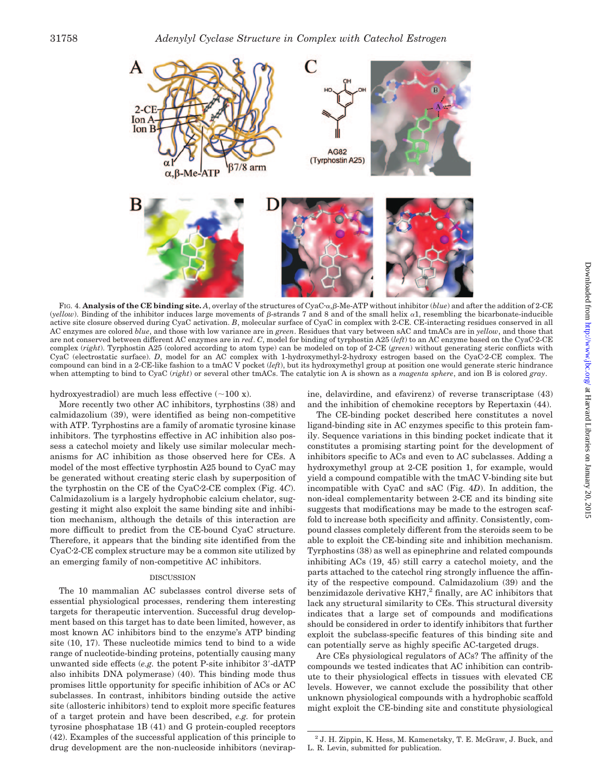

FIG. 4. Analysis of the CE binding site. A, overlay of the structures of CyaC· $\alpha$ ,  $\beta$ -Me-ATP without inhibitor (*blue*) and after the addition of 2-CE (*yellow*). Binding of the inhibitor induces large movements of  $\beta$ -strands 7 and 8 and of the small helix  $\alpha$ 1, resembling the bicarbonate-inducible active site closure observed during CyaC activation. *B*, molecular surface of CyaC in complex with 2-CE. CE-interacting residues conserved in all AC enzymes are colored *blue*, and those with low variance are in *green*. Residues that vary between sAC and tmACs are in *yellow*, and those that are not conserved between different AC enzymes are in *red*. *C*, model for binding of tyrphostin A25 (*left*) to an AC enzyme based on the CyaC-2-CE complex (*right*). Tyrphostin A25 (colored according to atom type) can be modeled on top of 2-CE (*green*) without generating steric conflicts with CyaC (electrostatic surface). *D*, model for an AC complex with 1-hydroxymethyl-2-hydroxy estrogen based on the CyaC-2-CE complex. The compound can bind in a 2-CE-like fashion to a tmAC V pocket (*left*), but its hydroxymethyl group at position one would generate steric hindrance when attempting to bind to CyaC (*right*) or several other tmACs. The catalytic ion A is shown as a *magenta sphere*, and ion B is colored *gray*.

# hydroxyestradiol) are much less effective  $(\sim 100 \text{ x})$ .

More recently two other AC inhibitors, tyrphostins (38) and calmidazolium (39), were identified as being non-competitive with ATP. Tyrphostins are a family of aromatic tyrosine kinase inhibitors. The tyrphostins effective in AC inhibition also possess a catechol moiety and likely use similar molecular mechanisms for AC inhibition as those observed here for CEs. A model of the most effective tyrphostin A25 bound to CyaC may be generated without creating steric clash by superposition of the tyrphostin on the CE of the CyaC-2-CE complex (Fig. 4*C*). Calmidazolium is a largely hydrophobic calcium chelator, suggesting it might also exploit the same binding site and inhibition mechanism, although the details of this interaction are more difficult to predict from the CE-bound CyaC structure. Therefore, it appears that the binding site identified from the CyaC-2-CE complex structure may be a common site utilized by an emerging family of non-competitive AC inhibitors.

#### DISCUSSION

The 10 mammalian AC subclasses control diverse sets of essential physiological processes, rendering them interesting targets for therapeutic intervention. Successful drug development based on this target has to date been limited, however, as most known AC inhibitors bind to the enzyme's ATP binding site (10, 17). These nucleotide mimics tend to bind to a wide range of nucleotide-binding proteins, potentially causing many unwanted side effects (*e.g.* the potent P-site inhibitor 3-dATP also inhibits DNA polymerase) (40). This binding mode thus promises little opportunity for specific inhibition of ACs or AC subclasses. In contrast, inhibitors binding outside the active site (allosteric inhibitors) tend to exploit more specific features of a target protein and have been described, *e.g.* for protein tyrosine phosphatase 1B (41) and G protein-coupled receptors (42). Examples of the successful application of this principle to drug development are the non-nucleoside inhibitors (nevirapine, delavirdine, and efavirenz) of reverse transcriptase (43) and the inhibition of chemokine receptors by Repertaxin (44).

The CE-binding pocket described here constitutes a novel ligand-binding site in AC enzymes specific to this protein family. Sequence variations in this binding pocket indicate that it constitutes a promising starting point for the development of inhibitors specific to ACs and even to AC subclasses. Adding a hydroxymethyl group at 2-CE position 1, for example, would yield a compound compatible with the tmAC V-binding site but incompatible with CyaC and sAC (Fig. 4*D*). In addition, the non-ideal complementarity between 2-CE and its binding site suggests that modifications may be made to the estrogen scaffold to increase both specificity and affinity. Consistently, compound classes completely different from the steroids seem to be able to exploit the CE-binding site and inhibition mechanism. Tyrphostins (38) as well as epinephrine and related compounds inhibiting ACs (19, 45) still carry a catechol moiety, and the parts attached to the catechol ring strongly influence the affinity of the respective compound. Calmidazolium (39) and the benzimidazole derivative  $KH7<sup>2</sup>$  finally, are AC inhibitors that lack any structural similarity to CEs. This structural diversity indicates that a large set of compounds and modifications should be considered in order to identify inhibitors that further exploit the subclass-specific features of this binding site and can potentially serve as highly specific AC-targeted drugs.

Are CEs physiological regulators of ACs? The affinity of the compounds we tested indicates that AC inhibition can contribute to their physiological effects in tissues with elevated CE levels. However, we cannot exclude the possibility that other unknown physiological compounds with a hydrophobic scaffold might exploit the CE-binding site and constitute physiological

<sup>2</sup> J. H. Zippin, K. Hess, M. Kamenetsky, T. E. McGraw, J. Buck, and L. R. Levin, submitted for publication.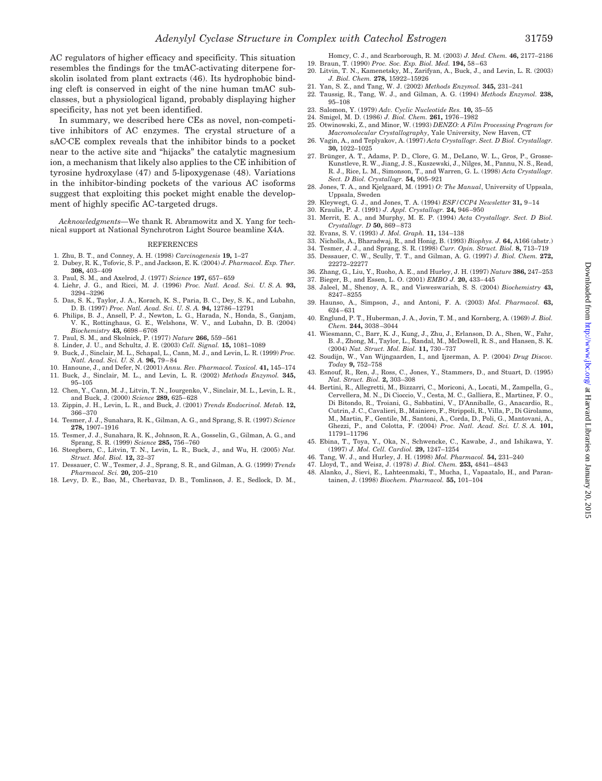AC regulators of higher efficacy and specificity. This situation resembles the findings for the tmAC-activating diterpene forskolin isolated from plant extracts (46). Its hydrophobic binding cleft is conserved in eight of the nine human tmAC subclasses, but a physiological ligand, probably displaying higher specificity, has not yet been identified.

In summary, we described here CEs as novel, non-competitive inhibitors of AC enzymes. The crystal structure of a sAC-CE complex reveals that the inhibitor binds to a pocket near to the active site and "hijacks" the catalytic magnesium ion, a mechanism that likely also applies to the CE inhibition of tyrosine hydroxylase (47) and 5-lipoxygenase (48). Variations in the inhibitor-binding pockets of the various AC isoforms suggest that exploiting this pocket might enable the development of highly specific AC-targeted drugs.

*Acknowledgments—*We thank R. Abramowitz and X. Yang for technical support at National Synchrotron Light Source beamline X4A.

#### REFERENCES

- 1. Zhu, B. T., and Conney, A. H. (1998) *Carcinogenesis* **19,** 1–27
- 2. Dubey, R. K., Tofovic, S. P., and Jackson, E. K. (2004) *J. Pharmacol. Exp. Ther.* **308,** 403– 409
- 3. Paul, S. M., and Axelrod, J. (1977) *Science* **197,** 657– 659
- 4. Liehr, J. G., and Ricci, M. J. (1996) *Proc. Natl. Acad. Sci. U. S. A.* **93,** 3294 –3296
- 5. Das, S. K., Taylor, J. A., Korach, K. S., Paria, B. C., Dey, S. K., and Lubahn, D. B. (1997) *Proc. Natl. Acad. Sci. U. S. A.* **94,** 12786 –12791 6. Philips, B. J., Ansell, P. J., Newton, L. G., Harada, N., Honda, S., Ganjam,
- V. K., Rottinghaus, G. E., Welshons, W. V., and Lubahn, D. B. (2004) *Biochemistry* **43,** 6698 – 6708
- 7. Paul, S. M., and Skolnick, P. (1977) *Nature* **266,** 559 –561
- 8. Linder, J. U., and Schultz, J. E. (2003) *Cell. Signal.* **15,** 1081–1089
- 9. Buck, J., Sinclair, M. L., Schapal, L., Cann, M. J., and Levin, L. R. (1999) *Proc. Natl. Acad. Sci. U. S. A.* **96,** 79 – 84
- 10. Hanoune, J., and Defer, N. (2001) *Annu. Rev. Pharmacol. Toxicol.* **41,** 145–174 11. Buck, J., Sinclair, M. L., and Levin, L. R. (2002) *Methods Enzymol.* **345,**
- 95–105 12. Chen, Y., Cann, M. J., Litvin, T. N., Iourgenko, V., Sinclair, M. L., Levin, L. R., and Buck, J. (2000) *Science* **289,** 625– 628
- 13. Zippin, J. H., Levin, L. R., and Buck, J. (2001) *Trends Endocrinol. Metab.* **12,** 366 –370
- 14. Tesmer, J. J., Sunahara, R. K., Gilman, A. G., and Sprang, S. R. (1997) *Science* **278,** 1907–1916
- 15. Tesmer, J. J., Sunahara, R. K., Johnson, R. A., Gosselin, G., Gilman, A. G., and Sprang, S. R. (1999) *Science* **285,** 756 –760
- 16. Steegborn, C., Litvin, T. N., Levin, L. R., Buck, J., and Wu, H. (2005) *Nat. Struct. Mol. Biol.* **12,** 32–37
- 17. Dessauer, C. W., Tesmer, J. J., Sprang, S. R., and Gilman, A. G. (1999) *Trends Pharmacol. Sci.* **20,** 205–210
- 18. Levy, D. E., Bao, M., Cherbavaz, D. B., Tomlinson, J. E., Sedlock, D. M.,
- Homcy, C. J., and Scarborough, R. M. (2003) *J. Med. Chem.* **46,** 2177–2186 19. Braun, T. (1990) *Proc. Soc. Exp. Biol. Med.* **194,** 58 – 63 20. Litvin, T. N., Kamenetsky, M., Zarifyan, A., Buck, J., and Levin, L. R. (2003)
- *J. Biol. Chem.* **278,** 15922–15926
- 21. Yan, S. Z., and Tang, W. J. (2002) *Methods Enzymol.* **345,** 231–241 22. Taussig, R., Tang, W. J., and Gilman, A. G. (1994) *Methods Enzymol.* **238,**
- 95–108
- 23. Salomon, Y. (1979) *Adv. Cyclic Nucleotide Res.* **10,** 35–55
- 24. Smigel, M. D. (1986) *J. Biol. Chem.* **261,** 1976 –1982
- 25. Otwinowski, Z., and Minor, W. (1993) *DENZO: A Film Processing Program for Macromolecular Crystallography*, Yale University, New Haven, CT
- 26. Vagin, A., and Teplyakov, A. (1997) *Acta Crystallogr. Sect. D Biol. Crystallogr.* **30,** 1022–1025
- 27. Brünger, A. T., Adams, P. D., Clore, G. M., DeLano, W. L., Gros, P., Grosse-Kunstleve, R. W., Jiang, J. S., Kuszewski, J., Nilges, M., Pannu, N. S., Read, R. J., Rice, L. M., Simonson, T., and Warren, G. L. (1998) *Acta Crystallogr. Sect. D Biol. Crystallogr.* **54,** 905–921
- 28. Jones, T. A., and Kjelgaard, M. (1991) *O: The Manual*, University of Uppsala, Uppsala, Sweden
- 29. Kleywegt, G. J., and Jones, T. A. (1994) *ESF/CCP4 Newsletter* **31,** 9 –14
- 30. Kraulis, P. J. (1991) *J. Appl. Crystallogr.* **24,** 946 –950
- 31. Merrit, E. A., and Murphy, M. E. P. (1994) *Acta Crystallogr. Sect. D Biol. Crystallogr. D* **50,** 869 – 873
- 32. Evans, S. V. (1993) *J. Mol. Graph.* **11,** 134 –138
- 33. Nicholls, A., Bharadwaj, R., and Honig, B. (1993) *Biophys. J.* **64,** A166 (abstr.)
- 34. Tesmer, J. J., and Sprang, S. R. (1998) *Curr. Opin. Struct. Biol.* **8,** 713–719 35. Dessauer, C. W., Scully, T. T., and Gilman, A. G. (1997) *J. Biol. Chem.* **272,**
- 22272–22277
- 36. Zhang, G., Liu, Y., Ruoho, A. E., and Hurley, J. H. (1997) *Nature* **386,** 247–253
- 37. Bieger, B., and Essen, L. O. (2001) *EMBO J.* **20,** 433– 445
- 38. Jaleel, M., Shenoy, A. R., and Visweswariah, S. S. (2004) *Biochemistry* **43,** 8247– 8255
- 39. Haunso, A., Simpson, J., and Antoni, F. A. (2003) *Mol. Pharmacol.* **63,** 624 – 631
- 40. Englund, P. T., Huberman, J. A., Jovin, T. M., and Kornberg, A. (1969) *J. Biol. Chem.* **244,** 3038 –3044
- 41. Wiesmann, C., Barr, K. J., Kung, J., Zhu, J., Erlanson, D. A., Shen, W., Fahr, B. J., Zhong, M., Taylor, L., Randal, M., McDowell, R. S., and Hansen, S. K. (2004) *Nat. Struct. Mol. Biol.* **11,** 730 –737
- 42. Soudijn, W., Van Wijngaarden, I., and Ijzerman, A. P. (2004) *Drug Discov. Today* **9,** 752–758
- 43. Esnouf, R., Ren, J., Ross, C., Jones, Y., Stammers, D., and Stuart, D. (1995) *Nat. Struct. Biol.* **2,** 303–308
- 44. Bertini, R., Allegretti, M., Bizzarri, C., Moriconi, A., Locati, M., Zampella, G., Cervellera, M. N., Di Cioccio, V., Cesta, M. C., Galliera, E., Martinez, F. O., Di Bitondo, R., Troiani, G., Sabbatini, V., D'Anniballe, G., Anacardio, R., Cutrin, J. C., Cavalieri, B., Mainiero, F., Strippoli, R., Villa, P., Di Girolamo, M., Martin, F., Gentile, M., Santoni, A., Corda, D., Poli, G., Mantovani, A., Ghezzi, P., and Colotta, F. (2004) *Proc. Natl. Acad. Sci. U. S. A.* **101,** 11791–11796
- 45. Ebina, T., Toya, Y., Oka, N., Schwencke, C., Kawabe, J., and Ishikawa, Y. (1997) *J. Mol. Cell. Cardiol.* **29,** 1247–1254
- 46. Tang, W. J., and Hurley, J. H. (1998) *Mol. Pharmacol.* **54,** 231–240
- 47. Lloyd, T., and Weisz, J. (1978) *J. Biol. Chem.* **253,** 4841– 4843
- 48. Alanko, J., Sievi, E., Lahteenmaki, T., Mucha, I., Vapaatalo, H., and Parantainen, J. (1998) *Biochem. Pharmacol.* **55,** 101–104